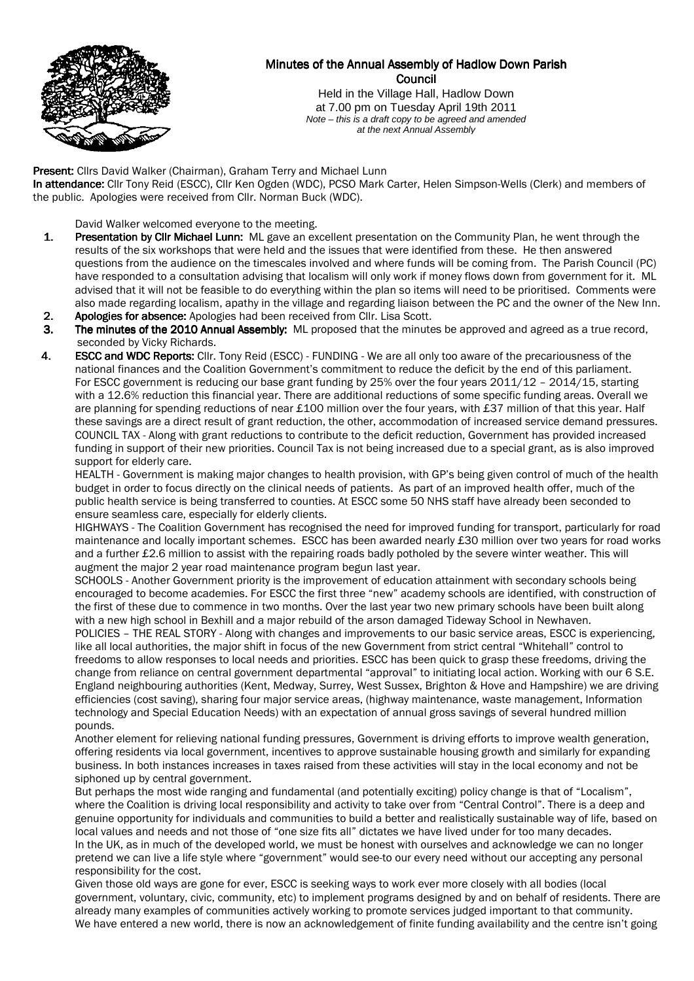

# Minutes of the Annual Assembly of Hadlow Down Parish Council

Held in the Village Hall, Hadlow Down at 7.00 pm on Tuesday April 19th 2011 Note – this is a draft copy to be agreed and amended at the next Annual Assembly

Present: Clirs David Walker (Chairman), Graham Terry and Michael Lunn In attendance: Cllr Tony Reid (ESCC), Cllr Ken Ogden (WDC), PCSO Mark Carter, Helen Simpson-Wells (Clerk) and members of the public. Apologies were received from Cllr. Norman Buck (WDC).

David Walker welcomed everyone to the meeting.

- 1. Presentation by Cllr Michael Lunn: ML gave an excellent presentation on the Community Plan, he went through the results of the six workshops that were held and the issues that were identified from these. He then answered questions from the audience on the timescales involved and where funds will be coming from. The Parish Council (PC) have responded to a consultation advising that localism will only work if money flows down from government for it. ML advised that it will not be feasible to do everything within the plan so items will need to be prioritised. Comments were also made regarding localism, apathy in the village and regarding liaison between the PC and the owner of the New Inn.
- 2. Apologies for absence: Apologies had been received from Cllr. Lisa Scott.
- 3. The minutes of the 2010 Annual Assembly: ML proposed that the minutes be approved and agreed as a true record, seconded by Vicky Richards.
- 4. ESCC and WDC Reports: Cllr. Tony Reid (ESCC) FUNDING We are all only too aware of the precariousness of the national finances and the Coalition Government's commitment to reduce the deficit by the end of this parliament. For ESCC government is reducing our base grant funding by 25% over the four years 2011/12 – 2014/15, starting with a 12.6% reduction this financial year. There are additional reductions of some specific funding areas. Overall we are planning for spending reductions of near £100 million over the four years, with £37 million of that this year. Half these savings are a direct result of grant reduction, the other, accommodation of increased service demand pressures. COUNCIL TAX - Along with grant reductions to contribute to the deficit reduction, Government has provided increased funding in support of their new priorities. Council Tax is not being increased due to a special grant, as is also improved support for elderly care.

 HEALTH - Government is making major changes to health provision, with GP's being given control of much of the health budget in order to focus directly on the clinical needs of patients. As part of an improved health offer, much of the public health service is being transferred to counties. At ESCC some 50 NHS staff have already been seconded to ensure seamless care, especially for elderly clients.

 HIGHWAYS - The Coalition Government has recognised the need for improved funding for transport, particularly for road maintenance and locally important schemes. ESCC has been awarded nearly £30 million over two years for road works and a further £2.6 million to assist with the repairing roads badly potholed by the severe winter weather. This will augment the major 2 year road maintenance program begun last year.

 SCHOOLS - Another Government priority is the improvement of education attainment with secondary schools being encouraged to become academies. For ESCC the first three "new" academy schools are identified, with construction of the first of these due to commence in two months. Over the last year two new primary schools have been built along with a new high school in Bexhill and a major rebuild of the arson damaged Tideway School in Newhaven.

 POLICIES – THE REAL STORY - Along with changes and improvements to our basic service areas, ESCC is experiencing, like all local authorities, the major shift in focus of the new Government from strict central "Whitehall" control to freedoms to allow responses to local needs and priorities. ESCC has been quick to grasp these freedoms, driving the change from reliance on central government departmental "approval" to initiating local action. Working with our 6 S.E. England neighbouring authorities (Kent, Medway, Surrey, West Sussex, Brighton & Hove and Hampshire) we are driving efficiencies (cost saving), sharing four major service areas, (highway maintenance, waste management, Information technology and Special Education Needs) with an expectation of annual gross savings of several hundred million pounds.

Another element for relieving national funding pressures, Government is driving efforts to improve wealth generation, offering residents via local government, incentives to approve sustainable housing growth and similarly for expanding business. In both instances increases in taxes raised from these activities will stay in the local economy and not be siphoned up by central government.

But perhaps the most wide ranging and fundamental (and potentially exciting) policy change is that of "Localism", where the Coalition is driving local responsibility and activity to take over from "Central Control". There is a deep and genuine opportunity for individuals and communities to build a better and realistically sustainable way of life, based on local values and needs and not those of "one size fits all" dictates we have lived under for too many decades. In the UK, as in much of the developed world, we must be honest with ourselves and acknowledge we can no longer pretend we can live a life style where "government" would see-to our every need without our accepting any personal responsibility for the cost.

Given those old ways are gone for ever, ESCC is seeking ways to work ever more closely with all bodies (local government, voluntary, civic, community, etc) to implement programs designed by and on behalf of residents. There are already many examples of communities actively working to promote services judged important to that community. We have entered a new world, there is now an acknowledgement of finite funding availability and the centre isn't going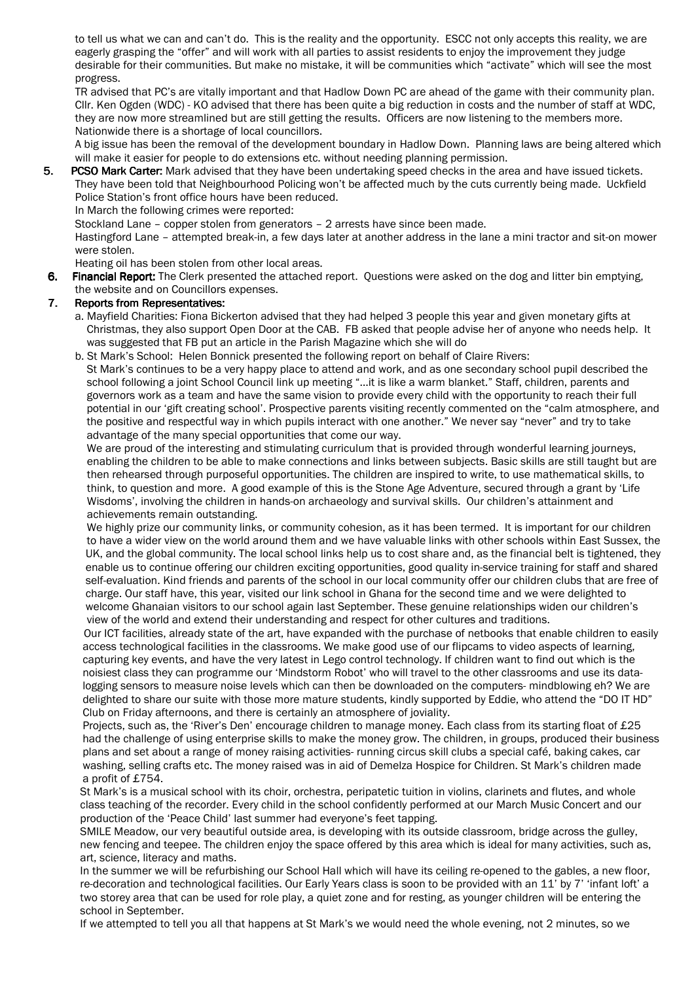to tell us what we can and can't do. This is the reality and the opportunity. ESCC not only accepts this reality, we are eagerly grasping the "offer" and will work with all parties to assist residents to enjoy the improvement they judge desirable for their communities. But make no mistake, it will be communities which "activate" which will see the most progress.

TR advised that PC's are vitally important and that Hadlow Down PC are ahead of the game with their community plan. Cllr. Ken Ogden (WDC) - KO advised that there has been quite a big reduction in costs and the number of staff at WDC, they are now more streamlined but are still getting the results. Officers are now listening to the members more. Nationwide there is a shortage of local councillors.

A big issue has been the removal of the development boundary in Hadlow Down. Planning laws are being altered which will make it easier for people to do extensions etc. without needing planning permission.

5. PCSO Mark Carter: Mark advised that they have been undertaking speed checks in the area and have issued tickets. They have been told that Neighbourhood Policing won't be affected much by the cuts currently being made. Uckfield Police Station's front office hours have been reduced.

In March the following crimes were reported:

Stockland Lane – copper stolen from generators – 2 arrests have since been made.

 Hastingford Lane – attempted break-in, a few days later at another address in the lane a mini tractor and sit-on mower were stolen.

Heating oil has been stolen from other local areas.

6. Financial Report: The Clerk presented the attached report. Questions were asked on the dog and litter bin emptying, the website and on Councillors expenses.

# 7. Reports from Representatives:

- a. Mayfield Charities: Fiona Bickerton advised that they had helped 3 people this year and given monetary gifts at Christmas, they also support Open Door at the CAB. FB asked that people advise her of anyone who needs help. It was suggested that FB put an article in the Parish Magazine which she will do
- b. St Mark's School: Helen Bonnick presented the following report on behalf of Claire Rivers: St Mark's continues to be a very happy place to attend and work, and as one secondary school pupil described the school following a joint School Council link up meeting "…it is like a warm blanket." Staff, children, parents and governors work as a team and have the same vision to provide every child with the opportunity to reach their full potential in our 'gift creating school'. Prospective parents visiting recently commented on the "calm atmosphere, and the positive and respectful way in which pupils interact with one another." We never say "never" and try to take advantage of the many special opportunities that come our way.

 We are proud of the interesting and stimulating curriculum that is provided through wonderful learning journeys, enabling the children to be able to make connections and links between subjects. Basic skills are still taught but are then rehearsed through purposeful opportunities. The children are inspired to write, to use mathematical skills, to think, to question and more. A good example of this is the Stone Age Adventure, secured through a grant by 'Life Wisdoms', involving the children in hands-on archaeology and survival skills. Our children's attainment and achievements remain outstanding.

 We highly prize our community links, or community cohesion, as it has been termed. It is important for our children to have a wider view on the world around them and we have valuable links with other schools within East Sussex, the UK, and the global community. The local school links help us to cost share and, as the financial belt is tightened, they enable us to continue offering our children exciting opportunities, good quality in-service training for staff and shared self-evaluation. Kind friends and parents of the school in our local community offer our children clubs that are free of charge. Our staff have, this year, visited our link school in Ghana for the second time and we were delighted to welcome Ghanaian visitors to our school again last September. These genuine relationships widen our children's view of the world and extend their understanding and respect for other cultures and traditions.

 Our ICT facilities, already state of the art, have expanded with the purchase of netbooks that enable children to easily access technological facilities in the classrooms. We make good use of our flipcams to video aspects of learning, capturing key events, and have the very latest in Lego control technology. If children want to find out which is the noisiest class they can programme our 'Mindstorm Robot' who will travel to the other classrooms and use its data logging sensors to measure noise levels which can then be downloaded on the computers- mindblowing eh? We are delighted to share our suite with those more mature students, kindly supported by Eddie, who attend the "DO IT HD" Club on Friday afternoons, and there is certainly an atmosphere of joviality.

Projects, such as, the 'River's Den' encourage children to manage money. Each class from its starting float of £25 had the challenge of using enterprise skills to make the money grow. The children, in groups, produced their business plans and set about a range of money raising activities- running circus skill clubs a special café, baking cakes, car washing, selling crafts etc. The money raised was in aid of Demelza Hospice for Children. St Mark's children made a profit of £754.

 St Mark's is a musical school with its choir, orchestra, peripatetic tuition in violins, clarinets and flutes, and whole class teaching of the recorder. Every child in the school confidently performed at our March Music Concert and our production of the 'Peace Child' last summer had everyone's feet tapping.

 SMILE Meadow, our very beautiful outside area, is developing with its outside classroom, bridge across the gulley, new fencing and teepee. The children enjoy the space offered by this area which is ideal for many activities, such as, art, science, literacy and maths.

 In the summer we will be refurbishing our School Hall which will have its ceiling re-opened to the gables, a new floor, re-decoration and technological facilities. Our Early Years class is soon to be provided with an 11' by 7' 'infant loft' a two storey area that can be used for role play, a quiet zone and for resting, as younger children will be entering the school in September.

If we attempted to tell you all that happens at St Mark's we would need the whole evening, not 2 minutes, so we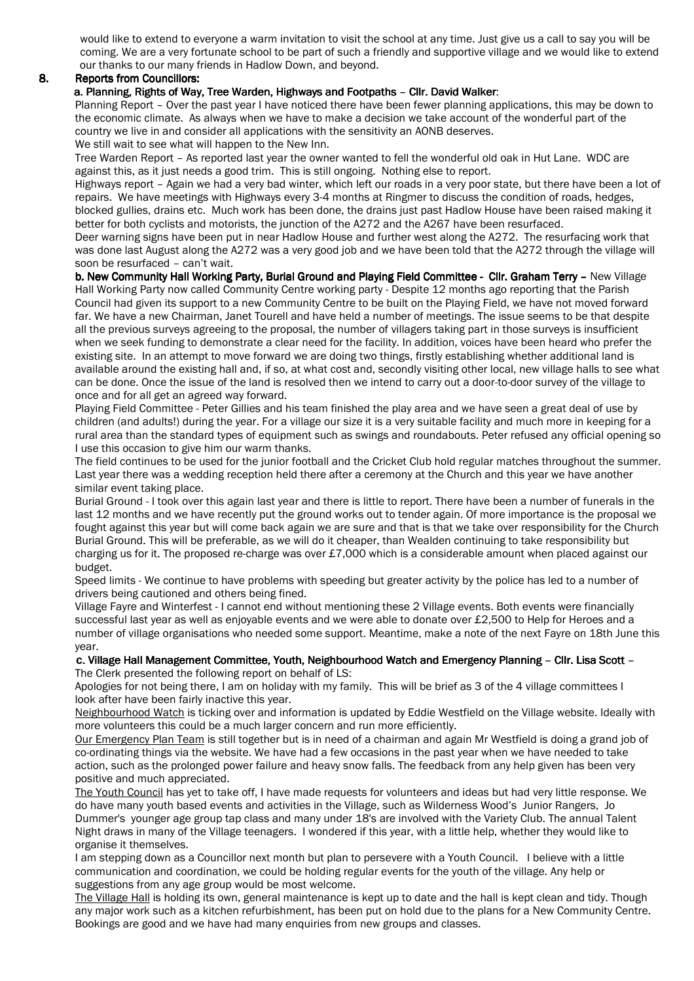would like to extend to everyone a warm invitation to visit the school at any time. Just give us a call to say you will be coming. We are a very fortunate school to be part of such a friendly and supportive village and we would like to extend our thanks to our many friends in Hadlow Down, and beyond.

# 8. Reports from Councillors:

# a. Planning, Rights of Way, Tree Warden, Highways and Footpaths - Cllr. David Walker:

Planning Report – Over the past year I have noticed there have been fewer planning applications, this may be down to the economic climate. As always when we have to make a decision we take account of the wonderful part of the country we live in and consider all applications with the sensitivity an AONB deserves. We still wait to see what will happen to the New Inn.

Tree Warden Report – As reported last year the owner wanted to fell the wonderful old oak in Hut Lane. WDC are against this, as it just needs a good trim. This is still ongoing. Nothing else to report.

Highways report – Again we had a very bad winter, which left our roads in a very poor state, but there have been a lot of repairs. We have meetings with Highways every 3-4 months at Ringmer to discuss the condition of roads, hedges, blocked gullies, drains etc. Much work has been done, the drains just past Hadlow House have been raised making it better for both cyclists and motorists, the junction of the A272 and the A267 have been resurfaced.

Deer warning signs have been put in near Hadlow House and further west along the A272. The resurfacing work that was done last August along the A272 was a very good job and we have been told that the A272 through the village will soon be resurfaced – can't wait.

b. New Community Hall Working Party, Burial Ground and Playing Field Committee - Cllr. Graham Terry - New Village Hall Working Party now called Community Centre working party - Despite 12 months ago reporting that the Parish Council had given its support to a new Community Centre to be built on the Playing Field, we have not moved forward far. We have a new Chairman, Janet Tourell and have held a number of meetings. The issue seems to be that despite all the previous surveys agreeing to the proposal, the number of villagers taking part in those surveys is insufficient when we seek funding to demonstrate a clear need for the facility. In addition, voices have been heard who prefer the existing site. In an attempt to move forward we are doing two things, firstly establishing whether additional land is available around the existing hall and, if so, at what cost and, secondly visiting other local, new village halls to see what can be done. Once the issue of the land is resolved then we intend to carry out a door-to-door survey of the village to once and for all get an agreed way forward.

Playing Field Committee - Peter Gillies and his team finished the play area and we have seen a great deal of use by children (and adults!) during the year. For a village our size it is a very suitable facility and much more in keeping for a rural area than the standard types of equipment such as swings and roundabouts. Peter refused any official opening so I use this occasion to give him our warm thanks.

The field continues to be used for the junior football and the Cricket Club hold regular matches throughout the summer. Last year there was a wedding reception held there after a ceremony at the Church and this year we have another similar event taking place.

Burial Ground - I took over this again last year and there is little to report. There have been a number of funerals in the last 12 months and we have recently put the ground works out to tender again. Of more importance is the proposal we fought against this year but will come back again we are sure and that is that we take over responsibility for the Church Burial Ground. This will be preferable, as we will do it cheaper, than Wealden continuing to take responsibility but charging us for it. The proposed re-charge was over £7,000 which is a considerable amount when placed against our budget.

Speed limits - We continue to have problems with speeding but greater activity by the police has led to a number of drivers being cautioned and others being fined.

Village Fayre and Winterfest - I cannot end without mentioning these 2 Village events. Both events were financially successful last year as well as enjoyable events and we were able to donate over £2,500 to Help for Heroes and a number of village organisations who needed some support. Meantime, make a note of the next Fayre on 18th June this year.

#### c. Village Hall Management Committee, Youth, Neighbourhood Watch and Emergency Planning - Cllr. Lisa Scott -The Clerk presented the following report on behalf of LS:

 Apologies for not being there, I am on holiday with my family. This will be brief as 3 of the 4 village committees I look after have been fairly inactive this year.

Neighbourhood Watch is ticking over and information is updated by Eddie Westfield on the Village website. Ideally with more volunteers this could be a much larger concern and run more efficiently.

Our Emergency Plan Team is still together but is in need of a chairman and again Mr Westfield is doing a grand job of co-ordinating things via the website. We have had a few occasions in the past year when we have needed to take action, such as the prolonged power failure and heavy snow falls. The feedback from any help given has been very positive and much appreciated.

The Youth Council has yet to take off, I have made requests for volunteers and ideas but had very little response. We do have many youth based events and activities in the Village, such as Wilderness Wood's Junior Rangers, Jo Dummer's younger age group tap class and many under 18's are involved with the Variety Club. The annual Talent Night draws in many of the Village teenagers. I wondered if this year, with a little help, whether they would like to organise it themselves.

I am stepping down as a Councillor next month but plan to persevere with a Youth Council. I believe with a little communication and coordination, we could be holding regular events for the youth of the village. Any help or suggestions from any age group would be most welcome.

The Village Hall is holding its own, general maintenance is kept up to date and the hall is kept clean and tidy. Though any major work such as a kitchen refurbishment, has been put on hold due to the plans for a New Community Centre. Bookings are good and we have had many enquiries from new groups and classes.